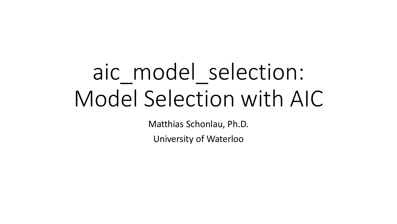# aic\_model\_selection: Model Selection with AIC

Matthias Schonlau, Ph.D.

University of Waterloo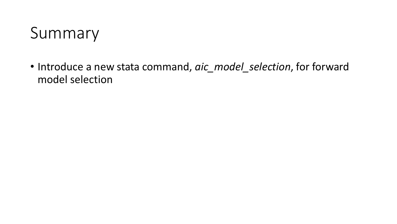

• Introduce a new stata command, *aic\_model\_selection*, for forward model selection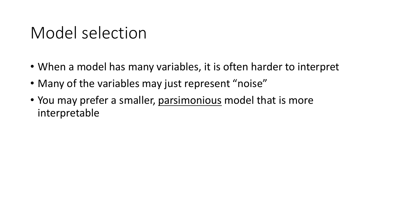# Model selection

- When a model has many variables, it is often harder to interpret
- Many of the variables may just represent "noise"
- You may prefer a smaller, parsimonious model that is more interpretable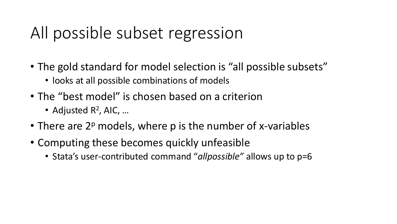# All possible subset regression

- The gold standard for model selection is "all possible subsets"
	- looks at all possible combinations of models
- The "best model" is chosen based on a criterion
	- Adjusted R<sup>2</sup>, AIC, ...
- There are  $2^p$  models, where p is the number of x-variables
- Computing these becomes quickly unfeasible
	- Stata's user-contributed command "*allpossible"* allows up to p=6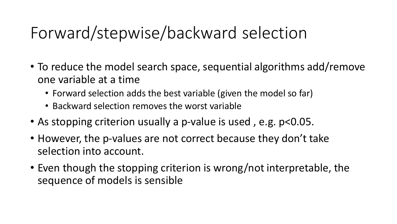# Forward/stepwise/backward selection

- To reduce the model search space, sequential algorithms add/remove one variable at a time
	- Forward selection adds the best variable (given the model so far)
	- Backward selection removes the worst variable
- As stopping criterion usually a p-value is used , e.g. p<0.05.
- However, the p-values are not correct because they don't take selection into account.
- Even though the stopping criterion is wrong/not interpretable, the sequence of models is sensible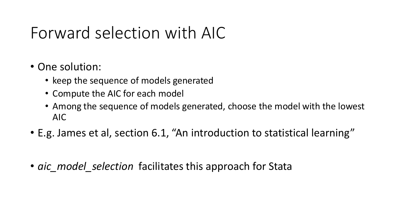# Forward selection with AIC

- One solution:
	- keep the sequence of models generated
	- Compute the AIC for each model
	- Among the sequence of models generated, choose the model with the lowest AIC
- E.g. James et al, section 6.1, "An introduction to statistical learning"
- *aic model selection* facilitates this approach for Stata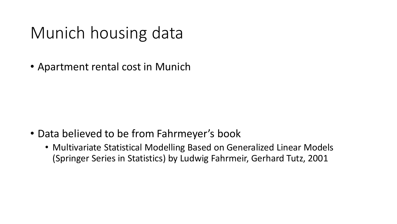# Munich housing data

• Apartment rental cost in Munich

- Data believed to be from Fahrmeyer's book
	- Multivariate Statistical Modelling Based on Generalized Linear Models (Springer Series in Statistics) by Ludwig Fahrmeir, Gerhard Tutz, 2001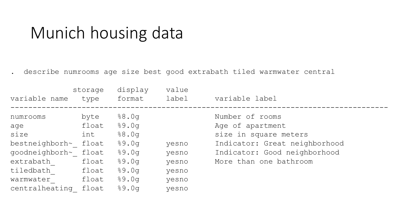#### Munich housing data

. describe numrooms age size best good extrabath tiled warmwater central

| variable name  | storage<br>type | display<br>format | value<br>label | variable label                |
|----------------|-----------------|-------------------|----------------|-------------------------------|
| numrooms       | byte            | 88.0q             |                | Number of rooms               |
| age            | float           | 89.0q             |                | Age of apartment              |
| size           | int             | 88.0q             |                | size in square meters         |
| bestneighborh~ | float           | 89.0q             | yesno          | Indicator: Great neighborhood |
| goodneighborh~ | float           | 89.0q             | yesno          | Indicator: Good neighborhood  |
| extrabath      | float           | 89.0q             | yesno          | More than one bathroom        |
| tiledbath      | float           | 89.0q             | yesno          |                               |
| warmwater      | float           | 89.0q             | yesno          |                               |
| centralheating | float           | 89.0q             | yesno          |                               |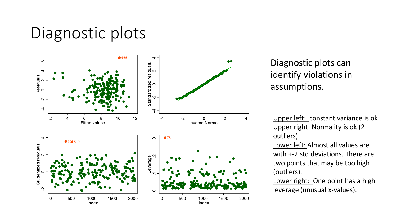# Diagnostic plots



#### Diagnostic plots can identify violations in assumptions.

Upper left: constant variance is ok Upper right: Normality is ok (2 outliers)

Lower left: Almost all values are with +-2 std deviations. There are two points that may be too high (outliers).

Lower right: One point has a high leverage (unusual x-values).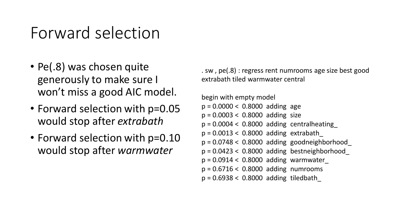# Forward selection

- Pe(.8) was chosen quite generously to make sure I won't miss a good AIC model.
- Forward selection with p=0.05 would stop after *extrabath*
- Forward selection with  $p=0.10$ would stop after *warmwater*

. sw , pe(.8) : regress rent numrooms age size best good extrabath tiled warmwater central

```
begin with empty model
p = 0.0000 < 0.8000 adding age
p = 0.0003 < 0.8000 adding size
p = 0.0004 < 0.8000 adding centralheating
p = 0.0013 < 0.8000 adding extrabath
p = 0.0748 < 0.8000 adding goodneighborhood
p = 0.0423 < 0.8000 adding bestneighborhood
p = 0.0914 < 0.8000 adding warmwater
p = 0.6716 < 0.8000 adding numrooms
p = 0.6938 < 0.8000 adding tiledbath_
```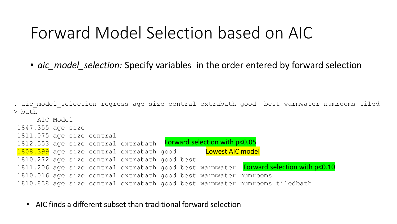#### Forward Model Selection based on AIC

• *aic\_model\_selection:* Specify variables in the order entered by forward selection

. aic model selection regress age size central extrabath good best warmwater numrooms tiled > bath

AIC Model 1847.355 age size 1811.075 age size central 1812.553 age size central extrabath Forward selection with p<0.05 <mark>1808.399</mark> age size central extrabath good bland to the state and the set of the set of the set of the set of the 1810.272 age size central extrabath good best 1811.206 age size central extrabath good best warmwater Forward selection with p<0.10 1810.016 age size central extrabath good best warmwater numrooms 1810.838 age size central extrabath good best warmwater numrooms tiledbath

• AIC finds a different subset than traditional forward selection